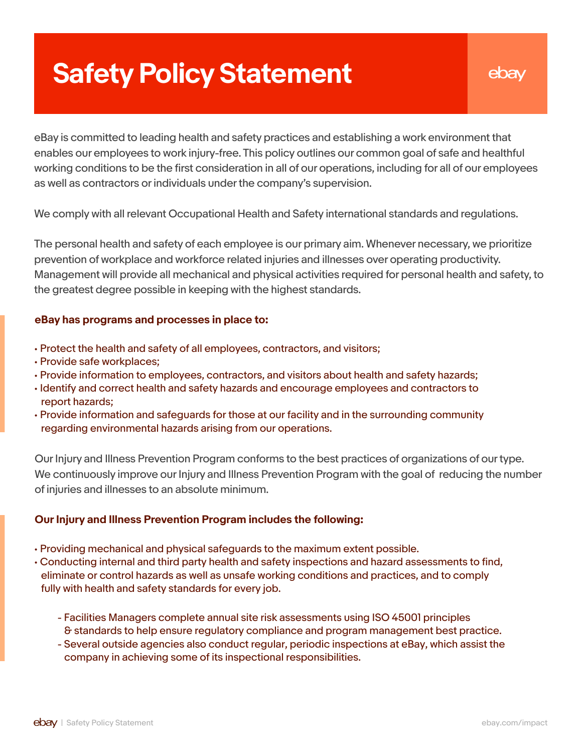# **Safety Policy Statement**

### ebay

eBay is committed to leading health and safety practices and establishing a work environment that enables our employees to work injury-free. This policy outlines our common goal of safe and healthful working conditions to be the first consideration in all of our operations, including for all of our employees as well as contractors or individuals under the company's supervision.

We comply with all relevant Occupational Health and Safety international standards and regulations.

The personal health and safety of each employee is our primary aim. Whenever necessary, we prioritize prevention of workplace and workforce related injuries and illnesses over operating productivity. Management will provide all mechanical and physical activities required for personal health and safety, to the greatest degree possible in keeping with the highest standards.

Our Injury and Illness Prevention Program conforms to the best practices of organizations of our type. We continuously improve our Injury and Illness Prevention Program with the goal of reducing the number of injuries and illnesses to an absolute minimum.

- Protect the health and safety of all employees, contractors, and visitors;
- Provide safe workplaces;
- Provide information to employees, contractors, and visitors about health and safety hazards;
- Identify and correct health and safety hazards and encourage employees and contractors to report hazards;
- Provide information and safeguards for those at our facility and in the surrounding community

regarding environmental hazards arising from our operations.

- Providing mechanical and physical safeguards to the maximum extent possible.
- Conducting internal and third party health and safety inspections and hazard assessments to find, eliminate or control hazards as well as unsafe working conditions and practices, and to comply fully with health and safety standards for every job.
	- Facilities Managers complete annual site risk assessments using ISO 45001 principles & standards to help ensure regulatory compliance and program management best practice.
	- Several outside agencies also conduct regular, periodic inspections at eBay, which assist the company in achieving some of its inspectional responsibilities.

#### **eBay has programs and processes in place to:**

#### **Our Injury and Illness Prevention Program includes the following:**